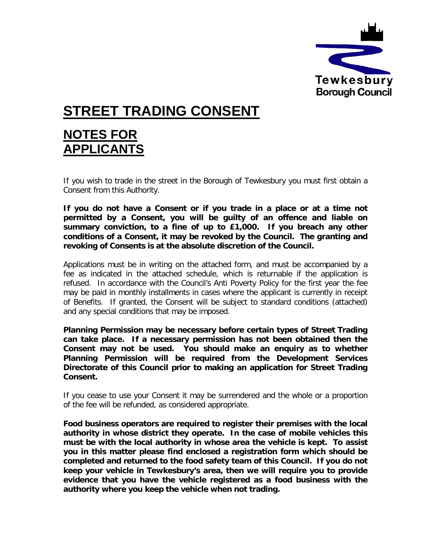

# **STREET TRADING CONSENT**

### **NOTES FOR APPLICANTS**

If you wish to trade in the street in the Borough of Tewkesbury you must first obtain a Consent from this Authority.

**If you do not have a Consent or if you trade in a place or at a time not permitted by a Consent, you will be guilty of an offence and liable on summary conviction, to a fine of up to £1,000. If you breach any other conditions of a Consent, it may be revoked by the Council. The granting and revoking of Consents is at the absolute discretion of the Council.**

Applications must be in writing on the attached form, and must be accompanied by a fee as indicated in the attached schedule, which is returnable if the application is refused. In accordance with the Council's Anti Poverty Policy for the first year the fee may be paid in monthly installments in cases where the applicant is currently in receipt of Benefits. If granted, the Consent will be subject to standard conditions (attached) and any special conditions that may be imposed.

**Planning Permission may be necessary before certain types of Street Trading can take place. If a necessary permission has not been obtained then the Consent may not be used. You should make an enquiry as to whether Planning Permission will be required from the Development Services Directorate of this Council prior to making an application for Street Trading Consent.**

If you cease to use your Consent it may be surrendered and the whole or a proportion of the fee will be refunded, as considered appropriate.

**Food business operators are required to register their premises with the local authority in whose district they operate. In the case of mobile vehicles this must be with the local authority in whose area the vehicle is kept. To assist you in this matter please find enclosed a registration form which should be completed and returned to the food safety team of this Council. If you do not keep your vehicle in Tewkesbury's area, then we will require you to provide evidence that you have the vehicle registered as a food business with the authority where you keep the vehicle when not trading.**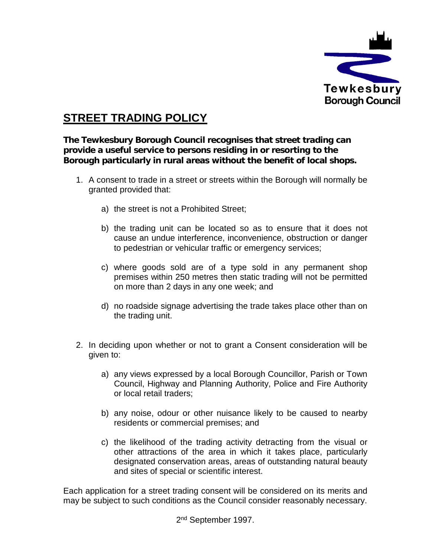

### **STREET TRADING POLICY**

**The Tewkesbury Borough Council recognises that street trading can provide a useful service to persons residing in or resorting to the Borough particularly in rural areas without the benefit of local shops.**

- 1. A consent to trade in a street or streets within the Borough will normally be granted provided that:
	- a) the street is not a Prohibited Street;
	- b) the trading unit can be located so as to ensure that it does not cause an undue interference, inconvenience, obstruction or danger to pedestrian or vehicular traffic or emergency services;
	- c) where goods sold are of a type sold in any permanent shop premises within 250 metres then static trading will not be permitted on more than 2 days in any one week; and
	- d) no roadside signage advertising the trade takes place other than on the trading unit.
- 2. In deciding upon whether or not to grant a Consent consideration will be given to:
	- a) any views expressed by a local Borough Councillor, Parish or Town Council, Highway and Planning Authority, Police and Fire Authority or local retail traders;
	- b) any noise, odour or other nuisance likely to be caused to nearby residents or commercial premises; and
	- c) the likelihood of the trading activity detracting from the visual or other attractions of the area in which it takes place, particularly designated conservation areas, areas of outstanding natural beauty and sites of special or scientific interest.

Each application for a street trading consent will be considered on its merits and may be subject to such conditions as the Council consider reasonably necessary.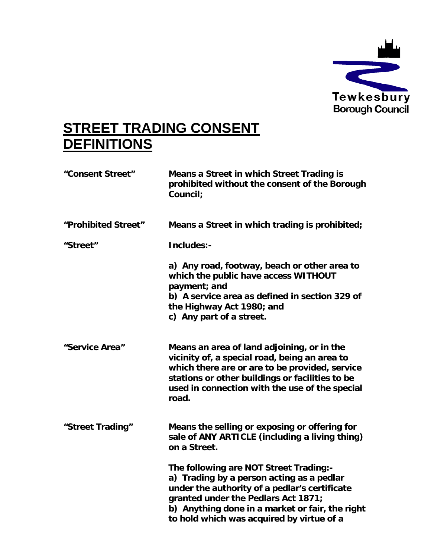

## **STREET TRADING CONSENT DEFINITIONS**

| "Consent Street"    | Means a Street in which Street Trading is<br>prohibited without the consent of the Borough<br>Council:                                                                                                                                                                      |
|---------------------|-----------------------------------------------------------------------------------------------------------------------------------------------------------------------------------------------------------------------------------------------------------------------------|
| "Prohibited Street" | Means a Street in which trading is prohibited;                                                                                                                                                                                                                              |
| "Street"            | Includes:-                                                                                                                                                                                                                                                                  |
|                     | a) Any road, footway, beach or other area to<br>which the public have access WITHOUT<br>payment; and<br>b) A service area as defined in section 329 of<br>the Highway Act 1980; and<br>c) Any part of a street.                                                             |
| "Service Area"      | Means an area of land adjoining, or in the<br>vicinity of, a special road, being an area to<br>which there are or are to be provided, service<br>stations or other buildings or facilities to be<br>used in connection with the use of the special<br>road.                 |
| "Street Trading"    | Means the selling or exposing or offering for<br>sale of ANY ARTICLE (including a living thing)<br>on a Street.                                                                                                                                                             |
|                     | The following are NOT Street Trading:-<br>a) Trading by a person acting as a pedlar<br>under the authority of a pedlar's certificate<br>granted under the Pedlars Act 1871;<br>b) Anything done in a market or fair, the right<br>to hold which was acquired by virtue of a |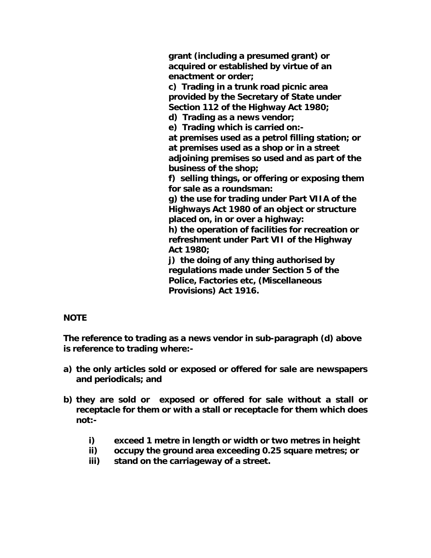**grant (including a presumed grant) or acquired or established by virtue of an enactment or order;**

**c) Trading in a trunk road picnic area provided by the Secretary of State under Section 112 of the Highway Act 1980;**

**d) Trading as a news vendor;**

**e) Trading which is carried on:-**

**at premises used as a petrol filling station; or at premises used as a shop or in a street adjoining premises so used and as part of the business of the shop;**

**f) selling things, or offering or exposing them for sale as a roundsman:**

**g) the use for trading under Part VIIA of the Highways Act 1980 of an object or structure placed on, in or over a highway:**

**h) the operation of facilities for recreation or refreshment under Part VII of the Highway Act 1980;**

**j) the doing of any thing authorised by regulations made under Section 5 of the Police, Factories etc, (Miscellaneous Provisions) Act 1916.**

#### **NOTE**

**The reference to trading as a news vendor in sub-paragraph (d) above is reference to trading where:-**

- **a) the only articles sold or exposed or offered for sale are newspapers and periodicals; and**
- **b) they are sold or exposed or offered for sale without a stall or receptacle for them or with a stall or receptacle for them which does not:**
	- **i) exceed 1 metre in length or width or two metres in height**
	- **ii) occupy the ground area exceeding 0.25 square metres; or**
	- **iii) stand on the carriageway of a street.**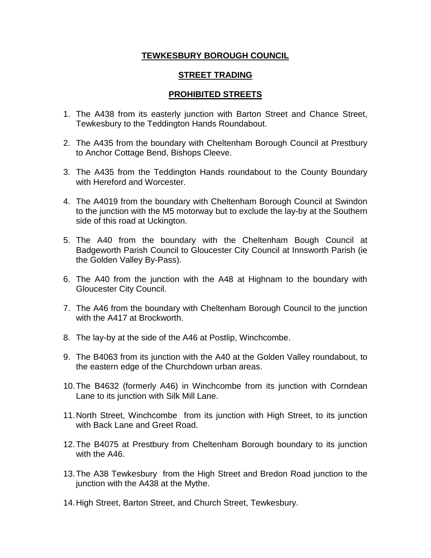#### **TEWKESBURY BOROUGH COUNCIL**

#### **STREET TRADING**

#### **PROHIBITED STREETS**

- 1. The A438 from its easterly junction with Barton Street and Chance Street, Tewkesbury to the Teddington Hands Roundabout.
- 2. The A435 from the boundary with Cheltenham Borough Council at Prestbury to Anchor Cottage Bend, Bishops Cleeve.
- 3. The A435 from the Teddington Hands roundabout to the County Boundary with Hereford and Worcester.
- 4. The A4019 from the boundary with Cheltenham Borough Council at Swindon to the junction with the M5 motorway but to exclude the lay-by at the Southern side of this road at Uckington.
- 5. The A40 from the boundary with the Cheltenham Bough Council at Badgeworth Parish Council to Gloucester City Council at Innsworth Parish (ie the Golden Valley By-Pass).
- 6. The A40 from the junction with the A48 at Highnam to the boundary with Gloucester City Council.
- 7. The A46 from the boundary with Cheltenham Borough Council to the junction with the A417 at Brockworth.
- 8. The lay-by at the side of the A46 at Postlip, Winchcombe.
- 9. The B4063 from its junction with the A40 at the Golden Valley roundabout, to the eastern edge of the Churchdown urban areas.
- 10.The B4632 (formerly A46) in Winchcombe from its junction with Corndean Lane to its junction with Silk Mill Lane.
- 11.North Street, Winchcombe from its junction with High Street, to its junction with Back Lane and Greet Road.
- 12.The B4075 at Prestbury from Cheltenham Borough boundary to its junction with the A46.
- 13.The A38 Tewkesbury from the High Street and Bredon Road junction to the junction with the A438 at the Mythe.
- 14.High Street, Barton Street, and Church Street, Tewkesbury.